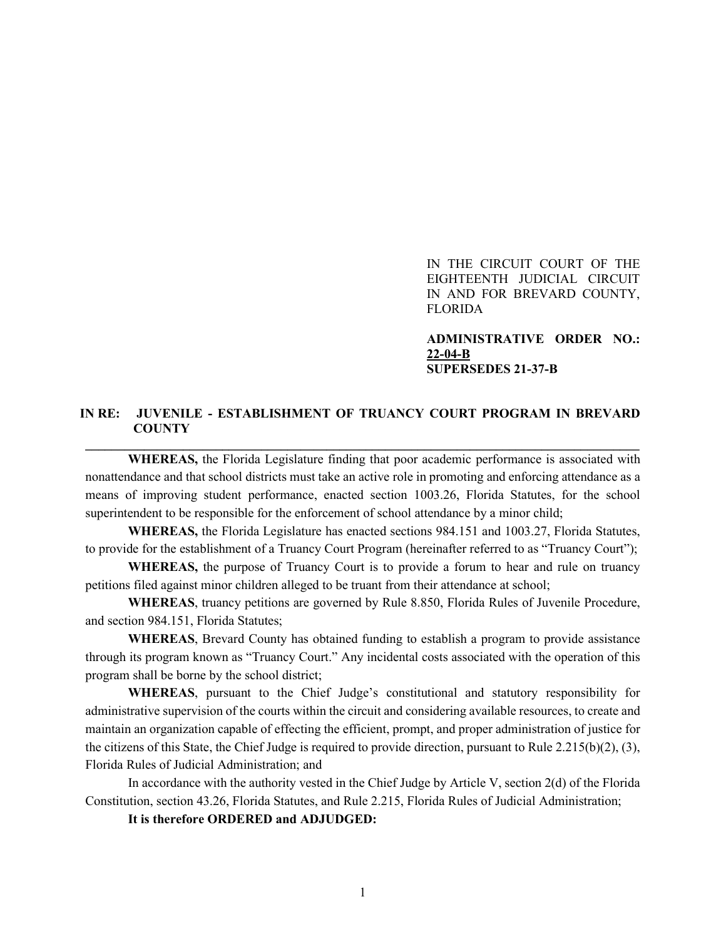IN THE CIRCUIT COURT OF THE EIGHTEENTH JUDICIAL CIRCUIT IN AND FOR BREVARD COUNTY, FLORIDA

**ADMINISTRATIVE ORDER NO.: 22-04-B SUPERSEDES 21-37-B**

## **IN RE: JUVENILE - ESTABLISHMENT OF TRUANCY COURT PROGRAM IN BREVARD COUNTY \_\_\_\_\_\_\_\_\_\_\_\_\_\_\_\_\_\_\_\_\_\_\_\_\_\_\_\_\_\_\_\_\_\_\_\_\_\_\_\_\_\_\_\_\_\_\_\_\_\_\_\_\_\_\_\_\_\_\_\_\_\_\_\_\_\_\_\_\_\_\_\_\_\_\_\_\_\_\_\_\_\_\_\_\_**

**WHEREAS,** the Florida Legislature finding that poor academic performance is associated with nonattendance and that school districts must take an active role in promoting and enforcing attendance as a means of improving student performance, enacted section 1003.26, Florida Statutes, for the school superintendent to be responsible for the enforcement of school attendance by a minor child;

**WHEREAS,** the Florida Legislature has enacted sections 984.151 and 1003.27, Florida Statutes, to provide for the establishment of a Truancy Court Program (hereinafter referred to as "Truancy Court");

**WHEREAS,** the purpose of Truancy Court is to provide a forum to hear and rule on truancy petitions filed against minor children alleged to be truant from their attendance at school;

**WHEREAS**, truancy petitions are governed by Rule 8.850, Florida Rules of Juvenile Procedure, and section 984.151, Florida Statutes;

**WHEREAS**, Brevard County has obtained funding to establish a program to provide assistance through its program known as "Truancy Court." Any incidental costs associated with the operation of this program shall be borne by the school district;

**WHEREAS**, pursuant to the Chief Judge's constitutional and statutory responsibility for administrative supervision of the courts within the circuit and considering available resources, to create and maintain an organization capable of effecting the efficient, prompt, and proper administration of justice for the citizens of this State, the Chief Judge is required to provide direction, pursuant to Rule  $2.215(b)(2)$ ,  $(3)$ , Florida Rules of Judicial Administration; and

In accordance with the authority vested in the Chief Judge by Article V, section 2(d) of the Florida Constitution, section 43.26, Florida Statutes, and Rule 2.215, Florida Rules of Judicial Administration;

**It is therefore ORDERED and ADJUDGED:**